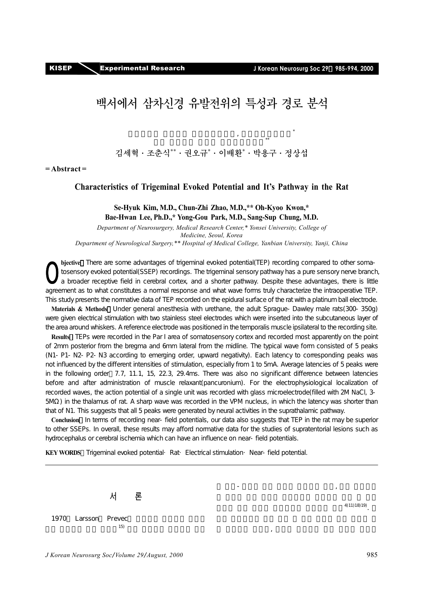

# **백서에서 삼차신경 유발전위의 특성과 경로 분석**

 $\begin{array}{r}\n\ast\ast\\
\ast\ast\\
\end{array}$ **김세혁·조춘식\*\*·권오규\* ·이배환\* ·박용구·정상섭**

 $\alpha$ 

**= Abstract =** 

#### **Characteristics of Trigeminal Evoked Potential and It's Pathway in the Rat**

#### **Se-Hyuk Kim, M.D., Chun-Zhi Zhao, M.D.,\*\* Oh-Kyoo Kwon,\* Bae-Hwan Lee, Ph.D.,\* Yong-Gou Park, M.D., Sang-Sup Chung, M.D.**

*Department of Neurosurgery, Medical Research Center,\* Yonsei University, College of Medicine, Seoul, Korea Department of Neurological Surgery,\*\* Hospital of Medical College, Yanbian University, Yanji, China* 

**bjective** There are some advantages of trigeminal evoked potential(TEP) recording compared to other somatosensory evoked potential(SSEP) recordings. The trigeminal sensory pathway has a pure sensory nerve branch, a broader receptive field in cerebral cortex, and a shorter pathway. Despite these advantages, there is little agreement as to what constitutes a normal response and what wave forms truly characterize the intraoperative TEP. This study presents the normative data of TEP recorded on the epidural surface of the rat with a platinum ball electrode. O

**Materials & Methods** Under general anesthesia with urethane, the adult Sprague-Dawley male rats(300-350g) were given electrical stimulation with two stainless steel electrodes which were inserted into the subcutaneous layer of the area around whiskers. A reference electrode was positioned in the temporalis muscle ipsilateral to the recording site.

**Results** TEPs were recorded in the Par I area of somatosensory cortex and recorded most apparently on the point of 2mm posterior from the bregma and 6mm lateral from the midline. The typical wave form consisted of 5 peaks (N1-P1-N2-P2-N3 according to emerging order, upward negativity). Each latency to corresponding peaks was not influenced by the different intensities of stimulation, especially from 1 to 5mA. Average latencies of 5 peaks were in the following order 7.7, 11.1, 15, 22.3, 29.4ms. There was also no significant difference between latencies before and after administration of muscle relaxant(pancuronium). For the electrophysiological localization of recorded waves, the action potential of a single unit was recorded with glass microelectrode(filled with 2M NaCl, 3- 5M) in the thalamus of rat. A sharp wave was recorded in the VPM nucleus, in which the latency was shorter than that of N1. This suggests that all 5 peaks were generated by neural activities in the suprathalamic pathway.

**Conclusion** In terms of recording near-field potentials, our data also suggests that TEP in the rat may be superior to other SSEPs. In overall, these results may afford normative data for the studies of supratentorial lesions such as hydrocephalus or cerebral ischemia which can have an influence on near-field potentials.

KEY WORDS Trigeminal evoked potential·Rat-Electrical stimulation·Near-field potential.



 $(4)$  11) 18) 19).

는 구강-안면부 감각 이상을 감지하기 위해, 장면부 감각 이상을 감지하기 위해, 장면부 감지하기 위해, 장면부 감지하기 위해, 장면부 감지하기 위해, 장면부 감지하기 위해, 장면부 감지하기 위해, 장면부

 $\overline{a}$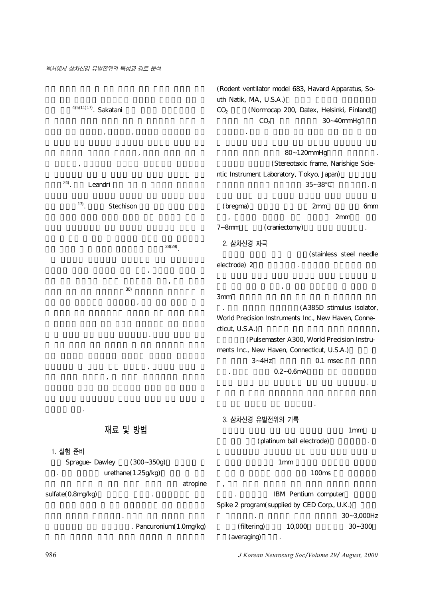$4$ <sup>(5)11)17</sup>). Sakatani

 $\alpha$  ,  $\alpha$  ,  $\alpha$  ,  $\alpha$  ,  $\alpha$  ,  $\alpha$  ,  $\alpha$  ,  $\alpha$  ,  $\alpha$  ,  $\alpha$  ,  $\alpha$  ,  $\alpha$  ,  $\alpha$  ,  $\alpha$  ,  $\alpha$  ,  $\alpha$  ,  $\alpha$  ,  $\alpha$  ,  $\alpha$  ,  $\alpha$  ,  $\alpha$  ,  $\alpha$  ,  $\alpha$  ,  $\alpha$  ,  $\alpha$  ,  $\alpha$  ,  $\alpha$  ,  $\alpha$  ,  $\alpha$  ,  $\alpha$  ,  $\alpha$  ,  $\alpha$  $\mathcal{S}$ 리 포착되고, 유발전위가 기록되는 피질부위가 정중신경이

## <sup>24)</sup>. Leandri

<sup>17)</sup>. Stechison

 $(28)$  29).  $($  $\mathcal{A}$ 

 $(30)$  $\mathcal{A}$ 로 더 의의가 있을 것으로 생각하였다. 따라서 백서를 이용

기록하면서 그 파형을 관찰 분석하고, 나타나는 파형의 일  $\mathcal{A}$ 

**재료 및 방법**

시하고자 한다.

#### **1. 실험 준비**

Sprague-Dawley (300~350g)  $urethane(1.25g/kg)$ atropine

sulfate(0.8mg/kg) 정맥을 노출하여 삽관하였다. 항문을 통해 체온계를 삽입하 . Pancuronium(1.0mg/kg)

(Rodent ventilator model 683, Havard Apparatus, South Natik, MA, U.S.A.) CO<sub>2</sub> (Normocap 200, Datex, Helsinki, Finland)  $CO<sub>2</sub>$  30~40mmHg

80~120mmHg (Stereotaxic frame, Narishige Scientic Instrument Laboratory, Tokyo, Japan)  $35~38$  .

유지하였다. 혈관 내 삽입된 관을 통하여 동맥 혈압 및 맥박

(bregma) 2mm 6mm  $\sim$  2mm 7~8mm (craniectomy)

**2. 삼차신경 자극** (stainless steel needle electrode) 2

 $\mathcal{A}$  $3<sub>mm</sub>$ 다. 자극 전극들은 자극절연기(A385D stimulus isolator, World Precision Instruments Inc., New Haven, Connecticut, U.S.A.)

(Pulsemaster A300, World Precision Instruments Inc., New Haven, Connecticut, U.S.A.)  $3 - 4$ Hz  $0.1$  msec  $0.2 - 0.6$ mA

각각의 세기에 따른 유발전위의 파형 들을 분석하였다. 전

**3. 삼차신경 유발전위의 기록**

따라 근육 이완제를 추가 투여하였다.

 $1<sub>mm</sub>$ (platinum ball electrode)

 $1$ mm

 $100$ ms  $\mathcal{L}_{\mathcal{A}}$ IBM Pentium computer

Spike 2 program(supplied by CED Corp., U.K.) 30~3,000Hz  $(Hiltering)$   $10,000$   $30~300$ (averaging)

986 *J Korean Neurosurg Soc*/*Volume 29*/ *August, 2000*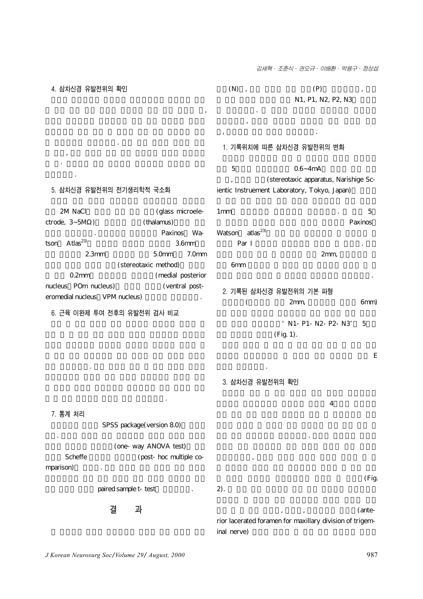김세혁· 조춘식· 권오규· 이배환· 박용구· 정상섭

**4. 삼차신경 유발전위의 확인**

확인하였다.

 $(N)$ ,  $(P)$ N1, P1, N2, P2, N3

여 표시하였다. 각 파들의 잠복기는 정점에서의 잠복기를  $\sim$ 

, (stereotaxic apparatus, Narishige Sc-

#### **1. 기록위치에 따른 삼차신경 유발전위의 변화**

ientic Instruement Laboratory, Tokyo, Japan)

 $9.6~4mA$ 

 $\alpha$ 

#### **5. 삼차신경 유발전위의 전기생리학적 국소화**

 $\overline{\phantom{a}}$ 

한 유발전위와 비교하였다. 또한 피하 층에서 노출된 신경  $\overline{a}$ 의 근·원위부를 직접 자극하여 유발전위가 기록되는 지를

2M NaCl
(glass microele $ctrode, 3~5M)$  (thalamus) Paxinos Wa $t$ son Atlas<sup>23)</sup> 3.6mm 2.3mm 5.0mm 7.0mm (stereotaxic method) 0.2mm (medial posterior nucleus: POm nucleus) (ventral posteromedial nucleus VPM nucleus)

**6. 근육 이완제 투여 전후의 유발전위 검사 비교**

위를 비교하였다. 먼저 흰쥐를 마취 후 전기 자극의 세기를

 $1 \text{mm}$   $5 \text{mm}$ Paxinos Watson atlas<sup>23)</sup> 당하는 Par I 부위에서 유발전위를 기록할 수 있었다. 유발  $2<sub>mm</sub>$  $6mm$ 었으며 이후의 실험은 이 부위에서 유발전위를 기록하였다.

### **2. 기록된 삼차신경 유발전위의 기본 파형**

 $(2mm,$   $2mm,$  6mm) ' N1- P1- N2- P2- N3' 5

 $(Fig. 1)$ .

문자들이 관찰되었는데 대학 문제를 받는 것이다.

### **3. 삼차신경 유발전위의 확인**

항에서 언급하였다.

한 후 근육 이완제를 투여한 후와 비교하였다. **7. 통계 처리** SPSS package(version 8.0) 였다. 자극의 세기에 따른 유발전위의 진폭과 잠복기 비교를 (one-way ANOVA test) Scheffe (post-hoc multiple comparison) paired sample t-test **결 과**  $4$ 극할 때의 유발전위와 비교하였다. 노출된 삼차신경 분지를 기록되었으며, 노출된 신경을 수술용 가위로 절단한 후 절  $(Fig.$  $2$ ). 결찰 한 후 결찰 원위부, 근위부, 뇌기저부의 상악공(ante-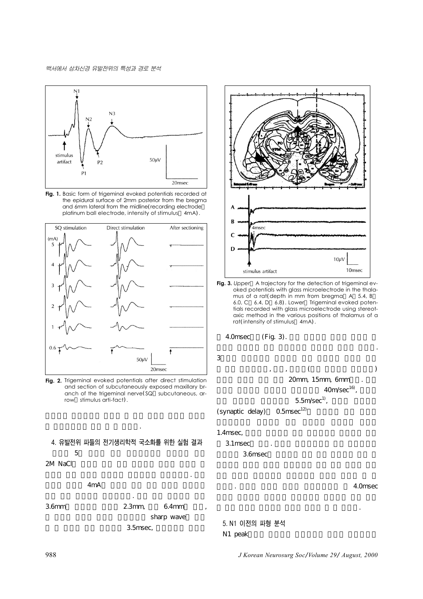

**Fig. 1.** Basic form of trigeminal evoked potentials recorded at the epidural surface of 2mm posterior from the bregma and 6mm lateral from the midline(recording electrode platinum ball electrode, intensity of stimulus 4mA).



Fig. 2. Trigeminal evoked potentials after direct stimulation and section of subcutaneously exposed maxillary branch of the trigeminal nerve(SQ subcutaneous, arrow stimulus arti-fact).

### **4. 유발전위 파들의 전기생리학적 국소화를 위한 실험 결과**  $5\,$

용하여 실험 동물의 시상에서 유발전위를 기록하였다. 전기

2M NaCl

#### $4mA$

경 유발전위임을 확인 할 수 있었다.

때와 같은 조건으로 실험하였다. 기록 결과 전정에서 뒤로 3.6mm 2.3mm, 6.4mm sharp wave 3.5msec,



**Fig. 3.** *Upper* A trajectory for the detection of trigeminal evoked potentials with glass microelectrode in the thalamus of a rat(depth in mm from bregma A 5.4, B 6.0, C 6.4, D 6.8). Lower Trigeminal evoked potentials recorded with glass microelectrode using stereotaxic method in the various positions of thalamus of a rat(intensity of stimulus 4mA).

용하여 시상핵에 의한 유발전위의 잠복기를 계산해 보았다.

 $4.0$ msec (Fig. 3).

 $3$ 

한 결과 삼차신경절, 뇌간, 시상핵(내측 복측핵의 중간부위) 20mm, 15mm, 6mm  $40m/sec<sup>16</sup>$ ,  $5.5m/sec<sup>1</sup>$ ,

(synaptic delay)  $0.5$ msec<sup>12)</sup>

#### 1.4msec,

3.1msec 3.6msec

있었다. 이상의 결과를 토대로 실험동물에서 약 4.0msec

**5. N1 이전의 파형 분석** N1 peak

988 *J Korean Neurosurg Soc*/*Volume 29*/ *August, 2000*

상 시상 이후의 경로에서 유래된 것임을 알 수 있었다.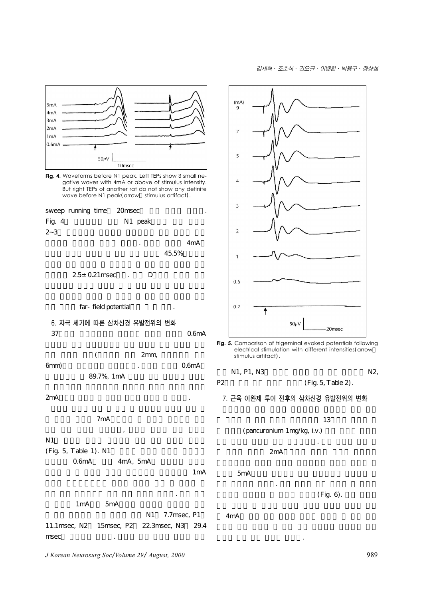

**Fig. 4.** Waveforms before N1 peak. Left TEPs show 3 small negative waves with 4mA or above of stimulus intensity. But right TEPs of another rat do not show any definite wave before N1 peak(arrow stimulus artifact).



 $2.5\pm 0.21$ msec. D



## **6. 자극 세기에 따른 삼차신경 유발전위의 변화**  $37$  0.6mA

|      |            | 2mm |                    |
|------|------------|-----|--------------------|
| 6mm) |            | ٠   | 0.6 <sub>m</sub> A |
|      | 89.7%, 1mA |     |                    |

 $2mA$ 

### $7mA$

지는 듯한 경향을 보였으나, 자극의 세기에 따른 변화가  $N1$ (Fig. 5, Table 1). N1

- 0.6mA 4mA, 5mA
- $1<sub>m</sub>$   $<sub>1</sub>$   $<sub>m</sub>$ </sub></sub>

복기 간에 통계적으로 의의 있는 차이가 없었다. 전기 자극  $1mA$  5mA N1 7.7msec, P1

11.1msec, N2 15msec, P2 22.3msec, N3 29.4  $m$ sec $\sim$ 

*J Korean Neurosurg Soc*/*Volume 29*/ *August, 2000* 989



**Fig. 5.** Comparison of trigeminal evoked potentials following electrical stimulation with different intensities(arrow stimulus artifact).

$$
N1, P1, N3 \t\t N2,
$$

P2  $(Fig. 5, Table 2)$ .

**7. 근육 이완제 투여 전후의 삼차신경 유발전위의 변화**

- $13$ (pancuronium 1mg/kg, i.v.) 위를 자극의 세기에 따라 비교하였다. 근육 이완제 투여 전  $2mA$
- $5mA$
- 축은 관찰되지 않았다. 근육 이완제 투여 전후의 각 파형의

 $4<sub>m</sub>A$ 

적으로 의의 있는 차이가 없었다.

 $(Fig. 6)$ .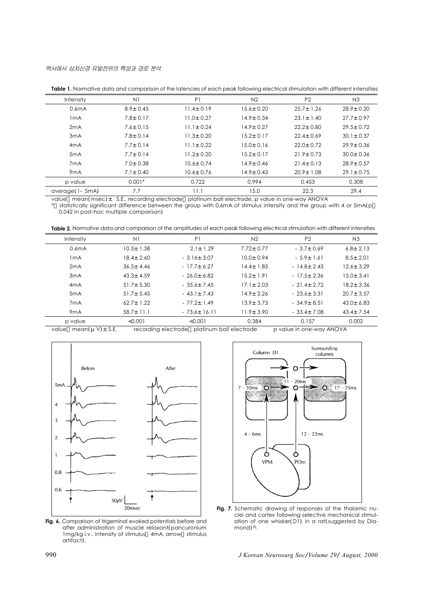|                    |                | <b>TODIE 1.</b> INVITIDATE QUIQ UNO COMPUTISON OF THE IQTERCIES OF EQUIT DEUX TOROWING ERECTIFCU SIMMUQUON WITH UNIFERENT INTERSITIES |                 |                 |                 |
|--------------------|----------------|---------------------------------------------------------------------------------------------------------------------------------------|-----------------|-----------------|-----------------|
| <b>Intensity</b>   | N1             | P1                                                                                                                                    | N <sub>2</sub>  | P <sub>2</sub>  | N3              |
| 0.6 <sub>m</sub> A | $8.9 \pm 0.45$ | $11.4 \pm 0.19$                                                                                                                       | $15.6 \pm 0.20$ | $25.7 \pm 1.26$ | $28.9 \pm 0.20$ |
| 1 <sub>m</sub> A   | $7.8 \pm 0.17$ | $11.0 \pm 0.27$                                                                                                                       | $14.9 \pm 0.34$ | $23.1 \pm 1.40$ | $27.7 \pm 0.97$ |
| 2mA                | $7.6 \pm 0.15$ | $11.1 \pm 0.24$                                                                                                                       | $14.9 \pm 0.27$ | $22.2 \pm 0.80$ | $29.5 \pm 0.72$ |
| 3mA                | $7.8 \pm 0.14$ | $11.3 \pm 0.20$                                                                                                                       | $15.2 \pm 0.17$ | $22.4 \pm 0.69$ | $30.1 \pm 0.37$ |
| 4mA                | $7.7 \pm 0.14$ | $11.1 \pm 0.22$                                                                                                                       | $15.0 \pm 0.16$ | $22.0 \pm 0.72$ | $29.9 \pm 0.36$ |
| 5 <sub>m</sub> A   | $7.7 \pm 0.14$ | $11.2 \pm 0.20$                                                                                                                       | $15.2 \pm 0.17$ | $21.9 \pm 0.73$ | $30.0 \pm 0.36$ |
| 7 <sub>m</sub> A   | $7.0 \pm 0.38$ | $10.6 \pm 0.74$                                                                                                                       | $14.9 \pm 0.46$ | $21.4 \pm 0.13$ | $28.9 \pm 0.57$ |
| 9 <sub>m</sub> A   | $7.1 \pm 0.40$ | $10.6 \pm 0.76$                                                                                                                       | $14.9 \pm 0.43$ | $20.9 \pm 1.08$ | $29.1 \pm 0.75$ |
| p value            | $0.001*$       | 0.722                                                                                                                                 | 0.994           | 0.453           | 0.308           |
| average (1- 5mA)   | 7.7            | 11.1                                                                                                                                  | 15.0            | 22.3            | 29.4            |

**Table 1.** Normative data and comparison of the latencies of each peak following electrical stimulation with different intensities

value mean(msec) ± S.E., recording electrode platinum ball electrode, p value in one-way ANOVA

statistically significant difference between the group with 0.6mA of stimulus intensity and the group with 4 or 5mA(p 0.042 in post-hoc multiple comparison)

Table 2. Normative data and comparison of the amplitudes of each peak following electrical stimulation with different intensities

| <b>Intensity</b>   | N1              | P <sub>1</sub>    | N <sub>2</sub>  | P <sub>2</sub>   | N3              |
|--------------------|-----------------|-------------------|-----------------|------------------|-----------------|
| 0.6 <sub>m</sub> A | $10.3 \pm 1.38$ | $2.1 \pm 1.29$    | $7.72 \pm 0.77$ | $-3.7 \pm 0.69$  | $6.8 \pm 2.13$  |
| 1mA                | $18.4 \pm 2.60$ | $-3.16 \pm 3.07$  | $10.0 + 0.94$   | $-5.9 \pm 1.61$  | $8.5 \pm 2.01$  |
| 2mA                | $36.5 + 4.46$   | $-17.7+6.27$      | $14.4 \pm 1.85$ | $-14.8+2.43$     | $12.6 + 3.29$   |
| 3 <sub>m</sub> A   | $43.3 \pm 4.59$ | $-26.0+6.82$      | $15.2 \pm 1.91$ | $-17.5+2.36$     | $15.0 \pm 3.41$ |
| 4mA                | $51.7 \pm 5.30$ | $-35.6 \pm 7.45$  | $17.1 \pm 2.03$ | $-21.4+2.72$     | $18.2 \pm 3.36$ |
| 5mA                | $51.7 + 5.45$   | $-43.1+7.43$      | $14.9 \pm 2.26$ | $-23.6+3.31$     | $20.7 \pm 3.57$ |
| 7 <sub>m</sub> A   | $62.7 + 1.22$   | $-77.2+1.49$      | $13.9 \pm 3.73$ | $-34.9 \pm 8.51$ | $43.0 + 6.83$   |
| 9 <sub>m</sub> A   | $58.7 \pm 11.1$ | $-73.6 \pm 16.11$ | $11.9 \pm 3.90$ | $-33.4+7.08$     | $43.4 \pm 7.54$ |
| p value            | < 0.001         | < 0.001           | 0.384           | 0.157            | 0.002           |

value  $mean(\mu V) \pm S.E.$  recording electrode platinum ball electrode p value in one-way ANOVA



**Fig. 6.** Comparison of trigeminal evoked potentials before and after administration of muscle relaxant(pancuronium 1mg/kg i.v., intensity of stimulus 4mA, arrow stimulus artifact).



**Fig. 7.** Schematic drawing of responses of the thalamic nuclei and cortex following selective mechanical stimulation of one whisker(D1) in a rat(suggested by Dia $mond<sup>8</sup>$ .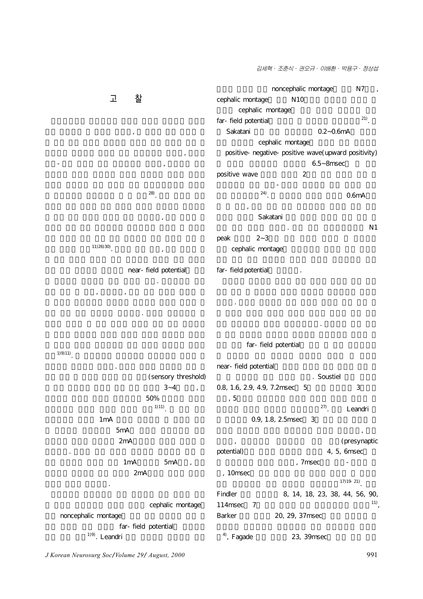김세혁· 조춘식· 권오규· 이배환· 박용구· 정상섭



near-field potential 그 유용성에 대해서는 아직 논란이 있다. 전위유발을 위한  $\mathcal{A}_{\mathcal{A}}$ 폭이 작아 많은 평균화가 필요하다. 반면에 전기자극은 일 far-field potential

 $1)9)11$ . 착하는데 어려움이 없었다. 자극의 세기는 임상에서 적용 시 (sensory threshold)  $3-4$ ,  $50\%$  $^{1)111}$ .

 $(11)26(30)$ .

 $1<sub>m</sub>A$  $5mA$  $2mA$ 찰되었다. 따라서 쥐를 이용한 삼차신경 유발전위 검사 시  $1mA$  5mA,  $2mA$ 세기일 것으로 생각된다. cephalic montage

noncephalic montage far-field potential  $1)9$ ). Leandri

far-field potential  $(21)$ Sakatani 6.2~0.6mA cephalic montage positive-negative-positive wave(upward positivity)  $6.5$ ~ $8$ msec 찰되었는데 이는 시상-피질간 방사로에 의한 것으로 보인  $^{24}$ . 0.6mA

 $\mathcal{N} = \frac{1}{2}$  $\sim$  N1 peak  $2 \sim 3$ cephalic montage

것이다. 그러나 보고자에 따라 기록한 결과가 각기 달라 아

신경 유발전위의 경우도 마찬가지이다. 사람에서 상악 분지 far-field potential near-field potential

. Soustiel 0.8, 1.6, 2.9, 4.9, 7.2msec 5  $1, 5$ <sup>27)</sup>. Leandri 0.9, 1.8, 2.5msec 3  $\mathcal{F}_{\mathcal{A}}$ 

진입부, 뇌간에서의 연접전부에 의한 전위(presynaptic potential) and the set of the set of the set of the set of the set of the set of the set of the set of the set of the set of the set of the set of the set of the set of the set of the set of the set of the set of the set o , 7msec -, 10msec  $17)19-21$ . Findler 8, 14, 18, 23, 38, 44, 56, 90,  $114 \text{msec}$  7  $^{11}$ , Barker 20, 29, 37msec  $4^9$ , Fagade  $23$ , 39msec

*J Korean Neurosurg Soc*/*Volume 29*/ *August, 2000* 991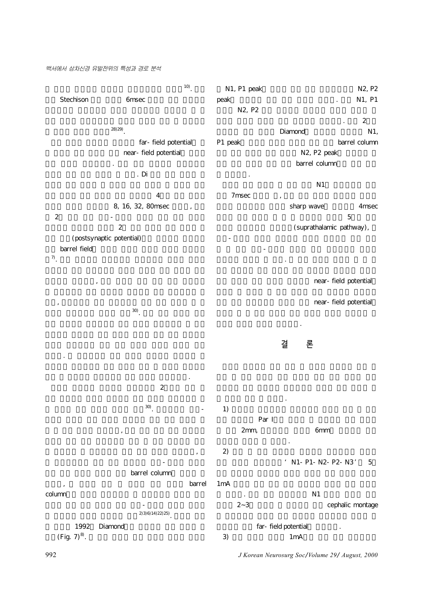#### 백서에서 삼차신경 유발전위의 특성과 경로 분석

 $\frac{10}{2}$ . Stechison 6msec  $(28) 29$ ). far-field potential near-field potential 연구 결과가 발표되었다. 이는 자극 부위부터 뇌간까지의  $D$ i  $D$  $4$ 8, 16, 32, 80msec  $2$   $-$ 피질에서 기원하며 나중의 2개 파는 흥분성 혹은 억제성 연 (postsynaptic potential) barrel field $_\gamma$  $\frac{7}{1}$ .  $\mathcal{O}(\frac{1}{2}n)$  $\alpha$  $(30)$ . 드물다. 본 연구에서는 전기 자극를 사용하여 삼차신경 유 진폭 등 삼차신경 유발전위의 기본 자료를 제시하였다.  $2\,$  $\frac{30}{1}$ .  $\mathcal{S}$  $\mathcal{A}$ 변 수용영역에는 조금 늦게 전달되어 시상-피질간 방사를 barrel column 달되며, 그 이후에 피질 속 연결을 통해 주변의 barrel column 측핵을 통한 늦은 반응이 다른 시상-피질간 방사를 경유하  $(2)$  3) 6) 14) 22) 25) 1992 Diamond  $(Fig. 7)^{8}$ . N1, P1 peak  $N2$ , P2 peak and the N1, P1 N2, P2  $\sim$  2 Diamond N1, P1 peak barrel column N2, P2 peak barrel column 로 사료된다.  $N1$ 7msec sharp wave 4msec  $\sim$  5 (suprathalamic pathway), 시상-피질간 방사나 피질에서 형성된 전위이며 파의 형태 는 두 개의 시상-피질간 방사를 통한 피질반응의 통합적 결과라고 추정할 수 있다. 본 연구 결과를 종합해 볼 때 백 near-field potential near-field potential 용하게 사용될 것으로 기대된다. **결 론** 은 결과를 얻을 수 있었다.  $1)$ Par I  $2mm$ ,  $6mm$ 뚜렷하게 포착할 수 있었다. 2)  $\sim$  20 ' N1- P1- N2- P2- N3' 5  $1\text{mA}$  $\sim$  N1 ephalic montage 2~3 far-field potential  $3)$   $1 \text{mA}$ 

992 *J Korean Neurosurg Soc*/*Volume 29*/ *August, 2000*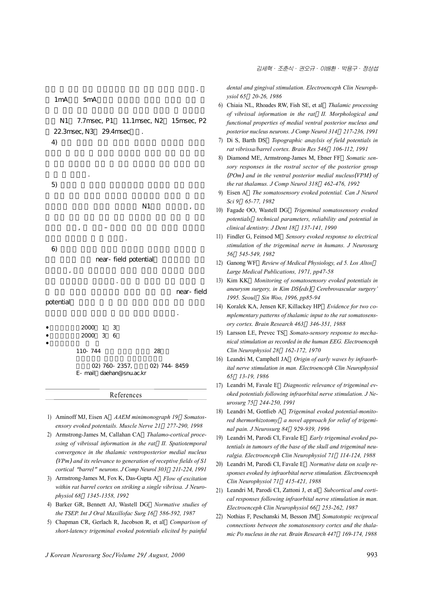$1mA$  5mA

N1 7.7msec, P1 11.1msec, N2 15msec, P2 22.3msec, N3 29.4msec  $\left(4\right)$ 

다섯 개 기본 파의 잠복기에는 의의 감독기에는 의의 감독기에는 의의 감독기에는 의의 감독기에는 의의 감독기에

을 알 수 있었다.  $5)$  $N1$ ,  $\overline{\phantom{a}}$ ,  $\overline{\phantom{a}}$ 

기원된 전위임을 알 수 있었다.  $6)$ near-field potential  $\overline{\phantom{a}}$ 비해 유리하다고 생각된다. 또한 본 실험을 통한 결과가 향 near-field potential 기초적인 자료를 제공할 수 있을 것으로 기대된다.

- $2000 1 = 3$ •심사완료일:2000년 3월 6일
- •책임저자:김 세 혁

110-744 28

02) 760-2357, 02) 744-8459 E-mail:daehan@snu.ac.kr

#### References

- 1) Aminoff MJ, Eisen A *AAEM minimonograph 19 Somatosensory evoked potentails. Muscle Nerve 21 277-290, 1998*
- 2) Armstrong-James M, Callahan CA *Thalamo-cortical processing of vibrissal information in the rat II. Spatiotemporal convergence in the thalamic ventroposterior medial nucleus*  (*VPm*) *and its relevance to generation of receptive fields of S1 cortical* "*barrel*" *neurons. J Comp Neurol 303 211-224, 1991*
- 3) Armstrong-James M, Fox K, Das-Gupta A *Flow of excitation within rat barrel cortex on striking a single vibrissa. J Neurophysiol 68 1345-1358, 1992*
- 4) Barker GR, Bennett AJ, Wastell DG *Normative studies of the TSEP. Int J Oral Maxillofac Surg 16 586-592, 1987*
- 5) Chapman CR, Gerlach R, Jacobson R, et al *Comparison of short-latency trigeminal evoked potentials elicited by painful*

*dental and gingival stimulation. Electroenceph Clin Neurophysiol 65 20-26, 1986*

- 6) Chiaia NL, Rhoades RW, Fish SE, et al *Thalamic processing of vibrissal information in the rat II. Morphological and functional properties of medial ventral posterior nucleus and posterior nucleus neurons. J Comp Neurol 314 217-236, 1991*
- 7) Di S, Barth DS *Topographic anaylsis of field potentials in rat vibrissa/barrel cortex. Brain Res 546 106-112, 1991*
- 8) Diamond ME, Armstrong-James M, Ebner FF *Somatic sensory responses in the rostral sector of the posterior group*  (*POm*) *and in the ventral posterior medial nucleus*(*VPM*) *of the rat thalamus. J Comp Neurol 318 462-476, 1992*
- 9) Eisen A *The somatosensory evoked potential. Can J Neurol Sci 9 65-77, 1982*
- 10) Fagade OO, Wastell DG *Trigeminal somatosensory evoked potentials technical parameters, reliability and potential in clinical dentistry. J Dent 18 137-141, 1990*
- 11) Findler G, Feinsod M *Sensory evoked response to electrical stimulation of the trigeminal nerve in humans. J Neurosurg 56 545-549, 1982*
- 12) Ganong WF *Review of Medical Physiology, ed 5. Los Altos Large Medical Publications, 1971, pp47-58*
- 13) Kim KK *Monitoring of somatosensory evoked potentials in aneurysm surgery, in Kim DS*(*eds*):*Cerebrovascular surgery' 1995. Seoul Sin Woo, 1996, pp85-94*
- 14) Koralek KA, Jensen KF, Killackey HP *Evidence for two complementary patterns of thalamic input to the rat somatosensory cortex. Brain Research 463 346-351, 1988*
- 15) Larsson LE, Prevec TS *Somato-sensory response to mechanical stimulation as recorded in the human EEG. Electroenceph Clin Neurophysiol 28 162-172, 1970*
- 16) Leandri M, Camphell JA *Origin of early waves by infraorbital nerve stimulation in man. Electroenceph Clin Neurophysiol 65 13-19, 1986*
- 17) Leandri M, Favale E *Diagnostic relevance of trigeminal evoked potentials following infraorbital nerve stimulation. J Neurosurg 75 244-250, 1991*
- 18) Leandri M, Gottlieb A *Trigeminal evoked potential-monitored thermorhizotomy a novel approach for relief of trigeminal pain. J Neurosurg 84 929-939, 1996*
- 19) Leandri M, Parodi CI, Favale E *Early trigeminal evoked potentials in tumours of the base of the skull and trigeminal neuralgia. Electroenceph Clin Neurophysiol 71 114-124, 1988*
- 20) Leandri M, Parodi CI, Favale E *Normative data on scalp responses evoked by infraorbital nerve stimulation. Electroenceph Clin Neurophysiol 71 415-421, 1988*
- 21) Leandri M, Parodi CI, Zattoni J, et al *Subcortical and cortical responses following infraorbital nerve stimulation in man. Electroenceph Clin Neurophysiol 66 253-262, 1987*
- 22) Nothias F, Peschanski M, Besson JM *Somatotopic reciprocal connections between the somatosensory cortex and the thalamic Po nucleus in the rat. Brain Research 447 169-174, 1988*